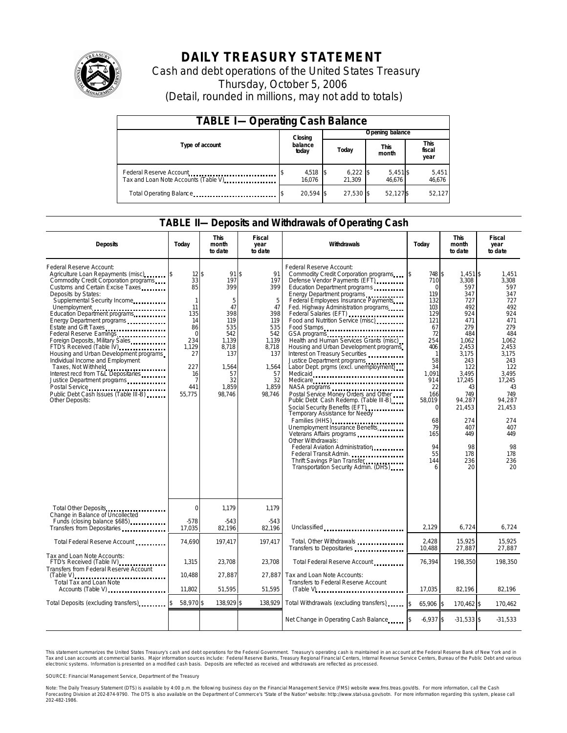

## **DAILY TREASURY STATEMENT**

Cash and debt operations of the United States Treasury Thursday, October 5, 2006 (Detail, rounded in millions, may not add to totals)

| <b>TABLE I-Operating Cash Balance</b>                            |  |                      |  |                      |  |                      |  |                               |
|------------------------------------------------------------------|--|----------------------|--|----------------------|--|----------------------|--|-------------------------------|
|                                                                  |  | Closing              |  | Opening balance      |  |                      |  |                               |
| Type of account                                                  |  | balance<br>today     |  | Today                |  | <b>This</b><br>month |  | <b>This</b><br>fiscal<br>year |
| Federal Reserve Account<br>Tax and Loan Note Accounts (Table V). |  | $4,518$ \$<br>16.076 |  | $6,222$ \$<br>21.309 |  | $5,451$ \$<br>46.676 |  | 5,451<br>46,676               |
| Total Operating Balance                                          |  | 20.594 \$            |  | 27.530 \$            |  | 52.127\$             |  | 52.127                        |

### **TABLE II—Deposits and Withdrawals of Operating Cash**

| <b>Deposits</b>                                                                                                                                                                                                                                                                                                                                                                                                                                                                                                                                                                               | Today                                                                                                                                          | <b>This</b><br>month<br>to date                                                                                             | Fiscal<br>year<br>to date                                                                                                | Withdrawals                                                                                                                                                                                                                                                                                                                                                                                                                                                                                                                                                                                                                                                                                                                                                                                                                                                                                                           | Today                                                                                                                                                                                                            | <b>This</b><br>month<br>to date                                                                                                                                                                                         | <b>Fiscal</b><br>year<br>to date                                                                                                                                                                                   |
|-----------------------------------------------------------------------------------------------------------------------------------------------------------------------------------------------------------------------------------------------------------------------------------------------------------------------------------------------------------------------------------------------------------------------------------------------------------------------------------------------------------------------------------------------------------------------------------------------|------------------------------------------------------------------------------------------------------------------------------------------------|-----------------------------------------------------------------------------------------------------------------------------|--------------------------------------------------------------------------------------------------------------------------|-----------------------------------------------------------------------------------------------------------------------------------------------------------------------------------------------------------------------------------------------------------------------------------------------------------------------------------------------------------------------------------------------------------------------------------------------------------------------------------------------------------------------------------------------------------------------------------------------------------------------------------------------------------------------------------------------------------------------------------------------------------------------------------------------------------------------------------------------------------------------------------------------------------------------|------------------------------------------------------------------------------------------------------------------------------------------------------------------------------------------------------------------|-------------------------------------------------------------------------------------------------------------------------------------------------------------------------------------------------------------------------|--------------------------------------------------------------------------------------------------------------------------------------------------------------------------------------------------------------------|
| Federal Reserve Account:<br>Agriculture Loan Repayments (misc)<br>Commodity Credit Corporation programs<br>Customs and Certain Excise Taxes<br>Deposits by States:<br>Supplemental Security Income<br>Energy Department programs<br>Estate and Gift Taxes<br>Federal Reserve Earnings<br>Foreign Deposits, Military Sales<br>FTD's Received (Table IV)<br>Housing and Urban Development programs<br>Individual Income and Employment<br>Taxes, Not Withheld<br>Interest recd from T&L Depositaries<br>Justice Department programs<br>Public Debt Cash Issues (Table III-B)<br>Other Deposits: | $12$ \$<br>33<br>85<br>$\mathbf{1}$<br>11<br>135<br>14<br>86<br>$\Omega$<br>234<br>1,129<br>27<br>227<br>16<br>$\overline{7}$<br>441<br>55,775 | 91 \$<br>197<br>399<br>5<br>47<br>398<br>119<br>535<br>542<br>1.139<br>8,718<br>137<br>1.564<br>57<br>32<br>1,859<br>98,746 | 91<br>197<br>399<br>5<br>47<br>398<br>119<br>535<br>542<br>1.139<br>8,718<br>137<br>1,564<br>57<br>32<br>1,859<br>98,746 | Federal Reserve Account:<br>Commodity Credit Corporation programs<br>Defense Vendor Payments (EFT)<br>Education Department programs<br>Energy Department programs<br>Federal Employees Insurance Payments<br>Fed. Highway Administration programs<br>Federal Salaries (EFT)<br>Food and Nutrition Service (misc)<br>Food Stamps<br>GSA programs<br>Health and Human Services Grants (misc)<br>Housing and Urban Development programs<br>Interest on Treasury Securities<br>Justice Department programs<br>Labor Dept. prgms (excl. unemployment)<br>Medicaid<br>Medicare<br>Postal Service Money Orders and Other<br>Public Debt Cash Redemp. (Table III-B)<br>Social Security Benefits (EFT)<br>Temporary Assistance for Needy<br>Families (HHS)<br>Unemployment Insurance Benefits<br>Other Withdrawals:<br>Federal Aviation Administration<br>Thrift Savings Plan Transfer<br>Transportation Security Admin. (DHS) | 748 \$<br>710<br>$\Omega$<br>119<br>132<br>103<br>129<br>121<br>67<br>72<br>254<br>406<br>$\mathbf{1}$<br>58<br>34<br>1.091<br>914<br>22<br>166<br>58.019<br>$\Omega$<br>68<br>79<br>165<br>94<br>55<br>144<br>6 | $1.451$ \$<br>3.308<br>597<br>347<br>727<br>492<br>924<br>471<br>279<br>484<br>1.062<br>2,453<br>3.175<br>243<br>122<br>3.495<br>17,245<br>43<br>749<br>94,287<br>21,453<br>274<br>407<br>449<br>98<br>178<br>236<br>20 | 1,451<br>3.308<br>597<br>347<br>727<br>492<br>924<br>471<br>279<br>484<br>1.062<br>2.453<br>3.175<br>243<br>122<br>3.495<br>17,245<br>43<br>749<br>94.287<br>21,453<br>274<br>407<br>449<br>98<br>178<br>236<br>20 |
| Total Other Deposits                                                                                                                                                                                                                                                                                                                                                                                                                                                                                                                                                                          | $\Omega$                                                                                                                                       | 1,179                                                                                                                       | 1,179                                                                                                                    |                                                                                                                                                                                                                                                                                                                                                                                                                                                                                                                                                                                                                                                                                                                                                                                                                                                                                                                       |                                                                                                                                                                                                                  |                                                                                                                                                                                                                         |                                                                                                                                                                                                                    |
| Change in Balance of Uncollected<br>Funds (closing balance \$685)<br>Transfers from Depositaries                                                                                                                                                                                                                                                                                                                                                                                                                                                                                              | $-578$<br>17,035                                                                                                                               | $-543$<br>82,196                                                                                                            | $-543$<br>82.196                                                                                                         | Unclassified                                                                                                                                                                                                                                                                                                                                                                                                                                                                                                                                                                                                                                                                                                                                                                                                                                                                                                          | 2.129                                                                                                                                                                                                            | 6,724                                                                                                                                                                                                                   | 6.724                                                                                                                                                                                                              |
| Total Federal Reserve Account                                                                                                                                                                                                                                                                                                                                                                                                                                                                                                                                                                 | 74,690                                                                                                                                         | 197,417                                                                                                                     | 197.417                                                                                                                  | Total, Other Withdrawals<br>Transfers to Depositaries                                                                                                                                                                                                                                                                                                                                                                                                                                                                                                                                                                                                                                                                                                                                                                                                                                                                 | 2,428<br>10,488                                                                                                                                                                                                  | 15,925<br>27,887                                                                                                                                                                                                        | 15,925<br>27,887                                                                                                                                                                                                   |
| Tax and Loan Note Accounts:<br>FTD's Received (Table IV)<br>Transfers from Federal Reserve Account                                                                                                                                                                                                                                                                                                                                                                                                                                                                                            | 1.315                                                                                                                                          | 23,708                                                                                                                      | 23.708                                                                                                                   | Total Federal Reserve Account                                                                                                                                                                                                                                                                                                                                                                                                                                                                                                                                                                                                                                                                                                                                                                                                                                                                                         | 76.394                                                                                                                                                                                                           | 198.350                                                                                                                                                                                                                 | 198.350                                                                                                                                                                                                            |
| $(Table V)$<br><br>Total Tax and Loan Note<br>Accounts (Table V)                                                                                                                                                                                                                                                                                                                                                                                                                                                                                                                              | 10,488<br>11,802                                                                                                                               | 27,887<br>51,595                                                                                                            | 27,887<br>51,595                                                                                                         | Tax and Loan Note Accounts:<br>Transfers to Federal Reserve Account<br>$(Table V)$ ,                                                                                                                                                                                                                                                                                                                                                                                                                                                                                                                                                                                                                                                                                                                                                                                                                                  | 17,035                                                                                                                                                                                                           | 82,196                                                                                                                                                                                                                  | 82,196                                                                                                                                                                                                             |
| Total Deposits (excluding transfers)                                                                                                                                                                                                                                                                                                                                                                                                                                                                                                                                                          | 58,970 \$                                                                                                                                      | 138,929 \$                                                                                                                  | 138,929                                                                                                                  | Total Withdrawals (excluding transfers)                                                                                                                                                                                                                                                                                                                                                                                                                                                                                                                                                                                                                                                                                                                                                                                                                                                                               | 65,906 \$<br><sup>\$</sup>                                                                                                                                                                                       | 170,462 \$                                                                                                                                                                                                              | 170,462                                                                                                                                                                                                            |
|                                                                                                                                                                                                                                                                                                                                                                                                                                                                                                                                                                                               |                                                                                                                                                |                                                                                                                             |                                                                                                                          | Net Change in Operating Cash Balance                                                                                                                                                                                                                                                                                                                                                                                                                                                                                                                                                                                                                                                                                                                                                                                                                                                                                  | $-6.937$ \$                                                                                                                                                                                                      | $-31,533$ \$                                                                                                                                                                                                            | $-31,533$                                                                                                                                                                                                          |

This statement summarizes the United States Treasury's cash and debt operations for the Federal Government. Treasury's operating cash is maintained in an account at the Federal Reserve Bank of New York and in Tax and Loan accounts at commercial banks. Major information sources include: Federal Reserve Banks, Treasury Regional Financial Centers, Internal Revenue Service Centers, Bureau of the Public Debt and various<br>electronic s

SOURCE: Financial Management Service, Department of the Treasury

Note: The Daily Treasury Statement (DTS) is available by 4:00 p.m. the following business day on the Financial Management Service (FMS) website www.fms.treas.gov/dts.<br>Forecasting Division at 202-874-9790. The DTS is also a 'S) is available by 4:00 p.m. the following business day on the Financial Management Service (FMS) website www.fms.treas.gov/dts. For more information, call the Cash<br>The DTS is also available on the Department of Commerce'